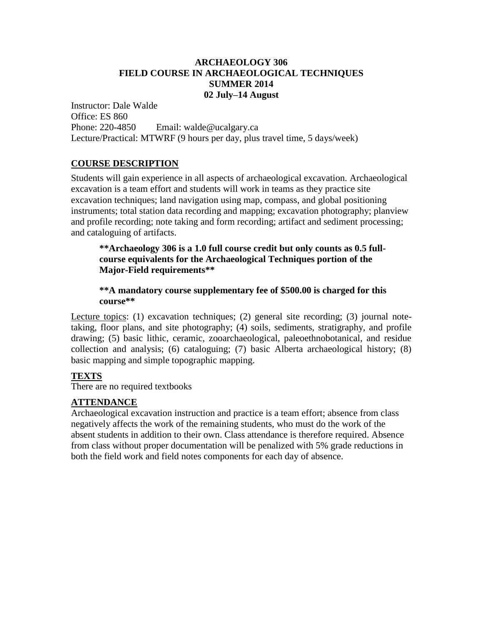# **ARCHAEOLOGY 306 FIELD COURSE IN ARCHAEOLOGICAL TECHNIQUES SUMMER 2014 02 July–14 August**

Instructor: Dale Walde Office: ES 860 Phone: 220-4850 Email: walde@ucalgary.ca Lecture/Practical: MTWRF (9 hours per day, plus travel time, 5 days/week)

# **COURSE DESCRIPTION**

Students will gain experience in all aspects of archaeological excavation. Archaeological excavation is a team effort and students will work in teams as they practice site excavation techniques; land navigation using map, compass, and global positioning instruments; total station data recording and mapping; excavation photography; planview and profile recording; note taking and form recording; artifact and sediment processing; and cataloguing of artifacts.

### **\*\*Archaeology 306 is a 1.0 full course credit but only counts as 0.5 fullcourse equivalents for the Archaeological Techniques portion of the Major-Field requirements\*\***

**\*\*A mandatory course supplementary fee of \$500.00 is charged for this course\*\***

Lecture topics: (1) excavation techniques; (2) general site recording; (3) journal notetaking, floor plans, and site photography; (4) soils, sediments, stratigraphy, and profile drawing; (5) basic lithic, ceramic, zooarchaeological, paleoethnobotanical, and residue collection and analysis; (6) cataloguing; (7) basic Alberta archaeological history; (8) basic mapping and simple topographic mapping.

# **TEXTS**

There are no required textbooks

### **ATTENDANCE**

Archaeological excavation instruction and practice is a team effort; absence from class negatively affects the work of the remaining students, who must do the work of the absent students in addition to their own. Class attendance is therefore required. Absence from class without proper documentation will be penalized with 5% grade reductions in both the field work and field notes components for each day of absence.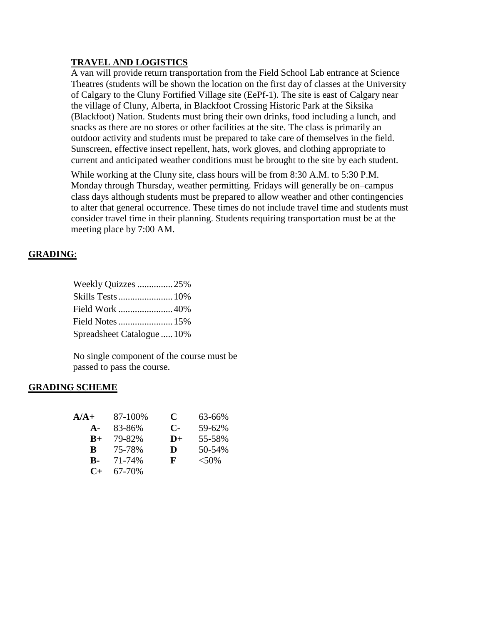# **TRAVEL AND LOGISTICS**

A van will provide return transportation from the Field School Lab entrance at Science Theatres (students will be shown the location on the first day of classes at the University of Calgary to the Cluny Fortified Village site (EePf-1). The site is east of Calgary near the village of Cluny, Alberta, in Blackfoot Crossing Historic Park at the Siksika (Blackfoot) Nation. Students must bring their own drinks, food including a lunch, and snacks as there are no stores or other facilities at the site. The class is primarily an outdoor activity and students must be prepared to take care of themselves in the field. Sunscreen, effective insect repellent, hats, work gloves, and clothing appropriate to current and anticipated weather conditions must be brought to the site by each student.

While working at the Cluny site, class hours will be from 8:30 A.M. to 5:30 P.M. Monday through Thursday, weather permitting. Fridays will generally be on–campus class days although students must be prepared to allow weather and other contingencies to alter that general occurrence. These times do not include travel time and students must consider travel time in their planning. Students requiring transportation must be at the meeting place by 7:00 AM.

# **GRADING**:

| Weekly Quizzes 25%         |  |
|----------------------------|--|
| Skills Tests  10%          |  |
| Field Work 40%             |  |
| Field Notes  15%           |  |
| Spreadsheet Catalogue  10% |  |

No single component of the course must be passed to pass the course.

### **GRADING SCHEME**

| A/A+           | 87-100% | C            | 63-66%  |
|----------------|---------|--------------|---------|
| $\mathbf{A}$ - | 83-86%  | $\mathbf{C}$ | 59-62%  |
| $B+$           | 79-82%  | $D+$         | 55-58%  |
| <sup>B</sup>   | 75-78%  | D            | 50-54%  |
| R-             | 71-74%  | F            | $<$ 50% |
| $C_{\pm}$      | 67-70%  |              |         |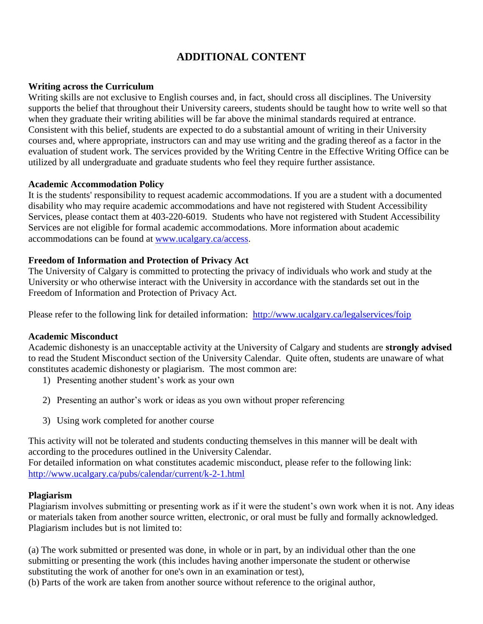# **ADDITIONAL CONTENT**

## **Writing across the Curriculum**

Writing skills are not exclusive to English courses and, in fact, should cross all disciplines. The University supports the belief that throughout their University careers, students should be taught how to write well so that when they graduate their writing abilities will be far above the minimal standards required at entrance. Consistent with this belief, students are expected to do a substantial amount of writing in their University courses and, where appropriate, instructors can and may use writing and the grading thereof as a factor in the evaluation of student work. The services provided by the Writing Centre in the Effective Writing Office can be utilized by all undergraduate and graduate students who feel they require further assistance.

### **Academic Accommodation Policy**

It is the students' responsibility to request academic accommodations. If you are a student with a documented disability who may require academic accommodations and have not registered with Student Accessibility Services, please contact them at 403-220-6019. Students who have not registered with Student Accessibility Services are not eligible for formal academic accommodations. More information about academic accommodations can be found at [www.ucalgary.ca/access.](http://www.ucalgary.ca/access)

## **Freedom of Information and Protection of Privacy Act**

The University of Calgary is committed to protecting the privacy of individuals who work and study at the University or who otherwise interact with the University in accordance with the standards set out in the Freedom of Information and Protection of Privacy Act.

Please refer to the following link for detailed information: <http://www.ucalgary.ca/legalservices/foip>

### **Academic Misconduct**

Academic dishonesty is an unacceptable activity at the University of Calgary and students are **strongly advised** to read the Student Misconduct section of the University Calendar. Quite often, students are unaware of what constitutes academic dishonesty or plagiarism. The most common are:

- 1) Presenting another student's work as your own
- 2) Presenting an author's work or ideas as you own without proper referencing
- 3) Using work completed for another course

This activity will not be tolerated and students conducting themselves in this manner will be dealt with according to the procedures outlined in the University Calendar. For detailed information on what constitutes academic misconduct, please refer to the following link:

<http://www.ucalgary.ca/pubs/calendar/current/k-2-1.html>

# **Plagiarism**

Plagiarism involves submitting or presenting work as if it were the student's own work when it is not. Any ideas or materials taken from another source written, electronic, or oral must be fully and formally acknowledged. Plagiarism includes but is not limited to:

(a) The work submitted or presented was done, in whole or in part, by an individual other than the one submitting or presenting the work (this includes having another impersonate the student or otherwise substituting the work of another for one's own in an examination or test),

(b) Parts of the work are taken from another source without reference to the original author,